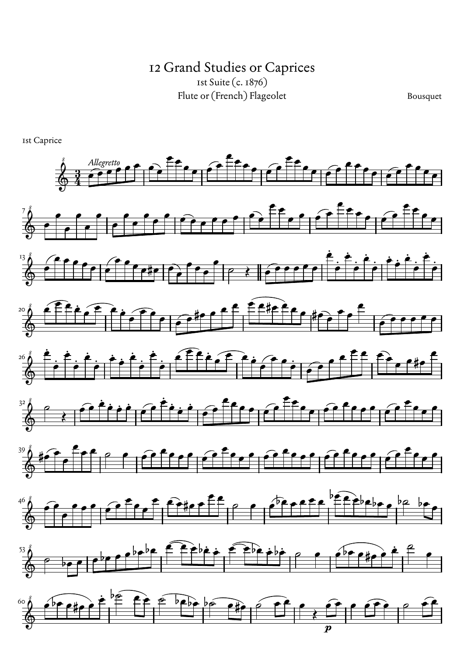1st Suite (c. 1876) 12 Grand Studies or Caprices

Flute or (French) Flageolet Bousquet

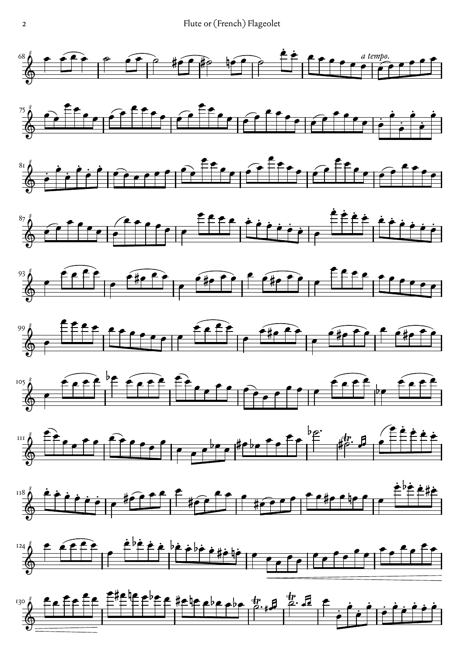

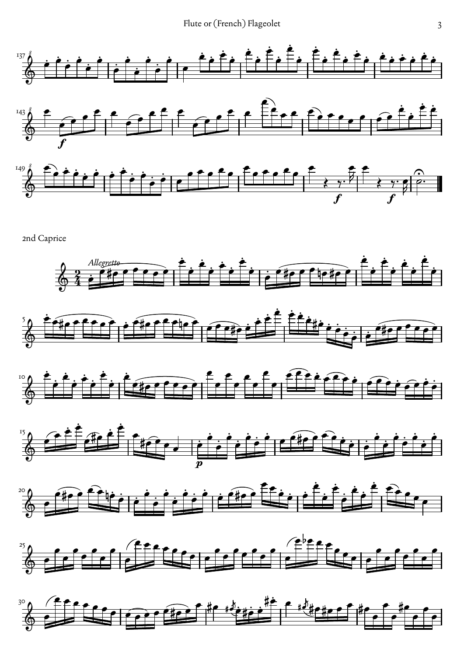

2nd Caprice













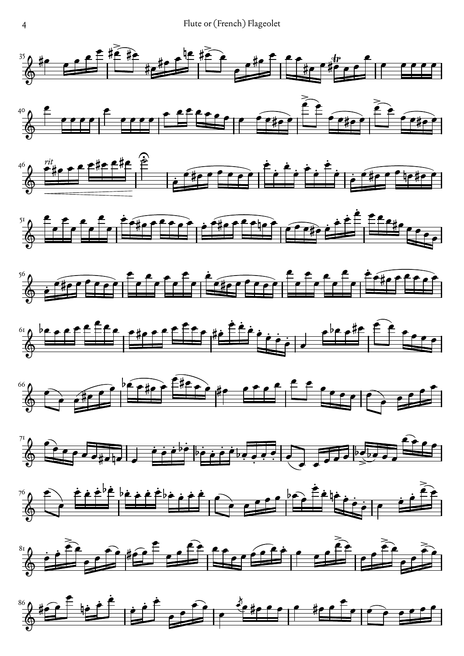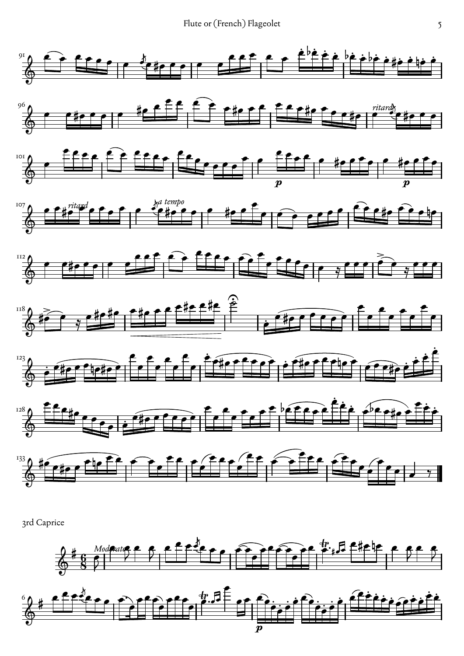

3rd Caprice



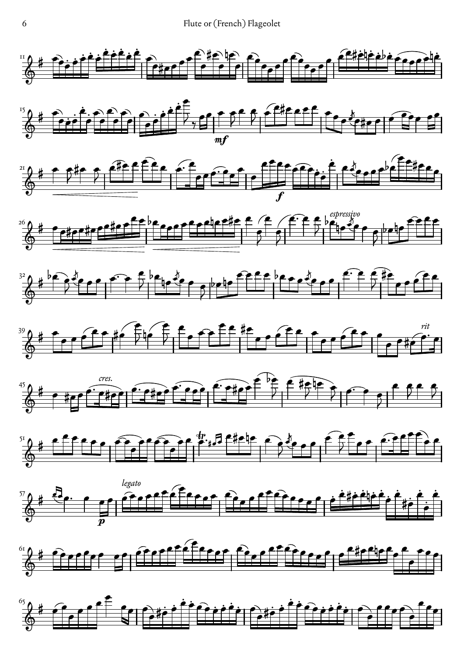